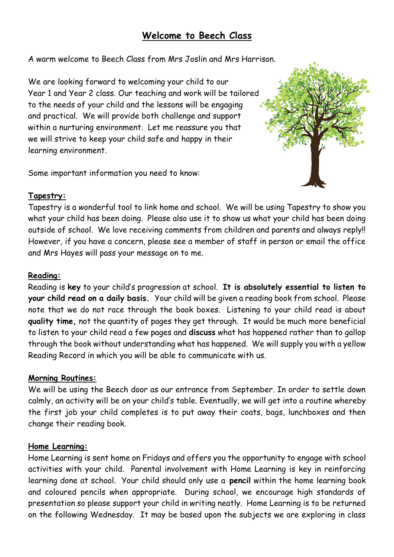# **Welcome to Beech Class**

A warm welcome to Beech Class from Mrs Joslin and Mrs Harrison.

We are looking forward to welcoming your child to our Year 1 and Year 2 class. Our teaching and work will be tailored to the needs of your child and the lessons will be engaging and practical. We will provide both challenge and support within a nurturing environment. Let me reassure you that we will strive to keep your child safe and happy in their learning environment.

Some important information you need to know:



# **Tapestry:**

Tapestry is a wonderful tool to link home and school. We will be using Tapestry to show you what your child has been doing. Please also use it to show us what your child has been doing outside of school. We love receiving comments from children and parents and always reply!! However, if you have a concern, please see a member of staff in person or email the office and Mrs Hayes will pass your message on to me.

# **Reading:**

Reading is **key** to your child's progression at school. **It is absolutely essential to listen to your child read on a daily basis.** Your child will be given a reading book from school. Please note that we do not race through the book boxes. Listening to your child read is about **quality time,** not the quantity of pages they get through. It would be much more beneficial to listen to your child read a few pages and **discuss** what has happened rather than to gallop through the book without understanding what has happened. We will supply you with a yellow Reading Record in which you will be able to communicate with us.

# **Morning Routines:**

We will be using the Beech door as our entrance from September. In order to settle down calmly, an activity will be on your child's table. Eventually, we will get into a routine whereby the first job your child completes is to put away their coats, bags, lunchboxes and then change their reading book.

# **Home Learning:**

Home Learning is sent home on Fridays and offers you the opportunity to engage with school activities with your child. Parental involvement with Home Learning is key in reinforcing learning done at school. Your child should only use a **pencil** within the home learning book and coloured pencils when appropriate. During school, we encourage high standards of presentation so please support your child in writing neatly. Home Learning is to be returned on the following Wednesday. It may be based upon the subjects we are exploring in class